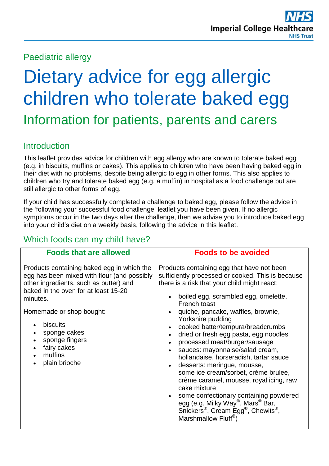Paediatric allergy

# Dietary advice for egg allergic children who tolerate baked egg Information for patients, parents and carers

# **Introduction**

This leaflet provides advice for children with egg allergy who are known to tolerate baked egg (e.g. in biscuits, muffins or cakes). This applies to children who have been having baked egg in their diet with no problems, despite being allergic to egg in other forms. This also applies to children who try and tolerate baked egg (e.g. a muffin) in hospital as a food challenge but are still allergic to other forms of egg.

If your child has successfully completed a challenge to baked egg, please follow the advice in the 'following your successful food challenge' leaflet you have been given. If no allergic symptoms occur in the two days after the challenge, then we advise you to introduce baked egg into your child's diet on a weekly basis, following the advice in this leaflet.

## Which foods can my child have?

| <b>Foods that are allowed</b>                                                                                                                                                                                                                                                                                | <b>Foods to be avoided</b>                                                                                                                                                                                                                                                                                                                                                                                                                                                                                                                                                                                                                                                                                                                                                                                                                                                                           |
|--------------------------------------------------------------------------------------------------------------------------------------------------------------------------------------------------------------------------------------------------------------------------------------------------------------|------------------------------------------------------------------------------------------------------------------------------------------------------------------------------------------------------------------------------------------------------------------------------------------------------------------------------------------------------------------------------------------------------------------------------------------------------------------------------------------------------------------------------------------------------------------------------------------------------------------------------------------------------------------------------------------------------------------------------------------------------------------------------------------------------------------------------------------------------------------------------------------------------|
| Products containing baked egg in which the<br>egg has been mixed with flour (and possibly<br>other ingredients, such as butter) and<br>baked in the oven for at least 15-20<br>minutes.<br>Homemade or shop bought:<br>biscuits<br>sponge cakes<br>sponge fingers<br>fairy cakes<br>muffins<br>plain brioche | Products containing egg that have not been<br>sufficiently processed or cooked. This is because<br>there is a risk that your child might react:<br>boiled egg, scrambled egg, omelette,<br>$\bullet$<br>French toast<br>quiche, pancake, waffles, brownie,<br>Yorkshire pudding<br>cooked batter/tempura/breadcrumbs<br>dried or fresh egg pasta, egg noodles<br>$\bullet$<br>processed meat/burger/sausage<br>$\bullet$<br>sauces: mayonnaise/salad cream,<br>$\bullet$<br>hollandaise, horseradish, tartar sauce<br>desserts: meringue, mousse,<br>$\bullet$<br>some ice cream/sorbet, crème brulee,<br>crème caramel, mousse, royal icing, raw<br>cake mixture<br>some confectionary containing powdered<br>$\bullet$<br>egg (e.g. Milky Way <sup>®</sup> , Mars <sup>®</sup> Bar,<br>Snickers <sup>®</sup> , Cream Egg <sup>®</sup> , Chewits <sup>®</sup> ,<br>Marshmallow Fluff <sup>®</sup> ) |